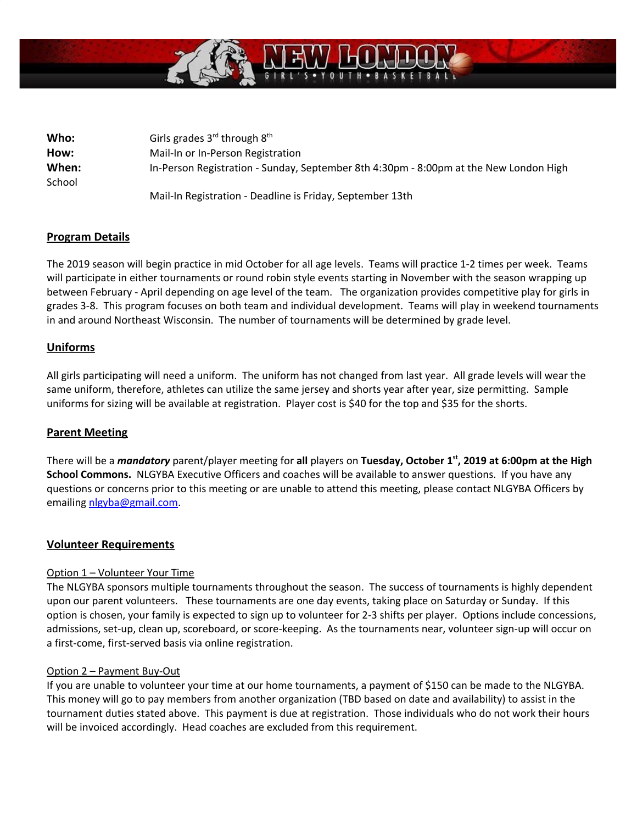

| Who:   | Girls grades $3^{rd}$ through $8^{th}$                                                |
|--------|---------------------------------------------------------------------------------------|
| How:   | Mail-In or In-Person Registration                                                     |
| When:  | In-Person Registration - Sunday, September 8th 4:30pm - 8:00pm at the New London High |
| School |                                                                                       |
|        | Mail-In Registration - Deadline is Friday, September 13th                             |

# **Program Details**

The 2019 season will begin practice in mid October for all age levels. Teams will practice 1-2 times per week. Teams will participate in either tournaments or round robin style events starting in November with the season wrapping up between February - April depending on age level of the team. The organization provides competitive play for girls in grades 3-8. This program focuses on both team and individual development. Teams will play in weekend tournaments in and around Northeast Wisconsin. The number of tournaments will be determined by grade level.

## **Uniforms**

All girls participating will need a uniform. The uniform has not changed from last year. All grade levels will wear the same uniform, therefore, athletes can utilize the same jersey and shorts year after year, size permitting. Sample uniforms for sizing will be available at registration. Player cost is \$40 for the top and \$35 for the shorts.

## **Parent Meeting**

There will be a *mandatory* parent/player meeting for **all** players on **Tuesday, October 1 st , 2019 at 6:00pm at the High School Commons.** NLGYBA Executive Officers and coaches will be available to answer questions. If you have any questions or concerns prior to this meeting or are unable to attend this meeting, please contact NLGYBA Officers by emailing nlgyba@gmail.com.

## **Volunteer Requirements**

## Option 1 – Volunteer Your Time

The NLGYBA sponsors multiple tournaments throughout the season. The success of tournaments is highly dependent upon our parent volunteers. These tournaments are one day events, taking place on Saturday or Sunday. If this option is chosen, your family is expected to sign up to volunteer for 2-3 shifts per player. Options include concessions, admissions, set-up, clean up, scoreboard, or score-keeping. As the tournaments near, volunteer sign-up will occur on a first-come, first-served basis via online registration.

## Option 2 – Payment Buy-Out

If you are unable to volunteer your time at our home tournaments, a payment of \$150 can be made to the NLGYBA. This money will go to pay members from another organization (TBD based on date and availability) to assist in the tournament duties stated above. This payment is due at registration. Those individuals who do not work their hours will be invoiced accordingly. Head coaches are excluded from this requirement.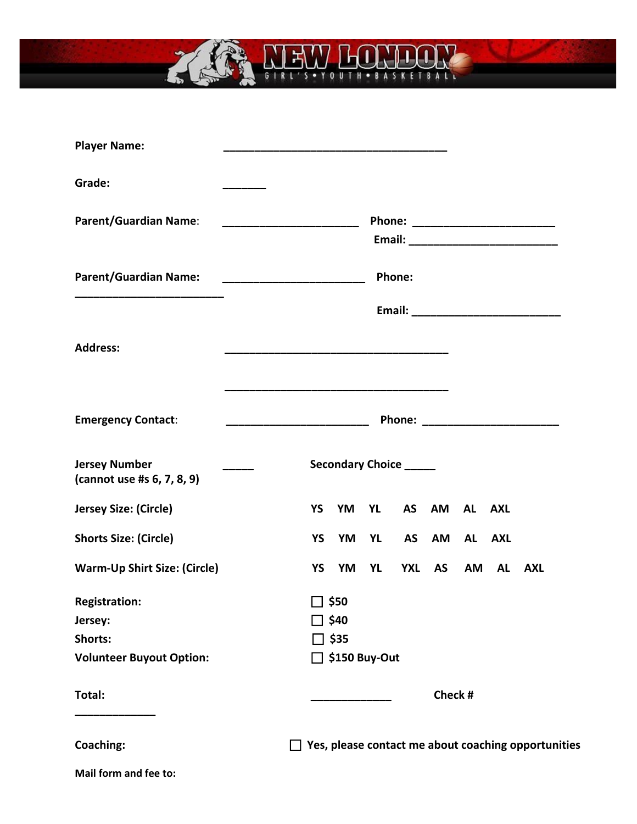

| <b>Player Name:</b>                                                           |                                                                                                                                                                                                                                              |           |                                                             |           |                        |              |    |            |                                                                                                                                                                                                                                     |  |  |
|-------------------------------------------------------------------------------|----------------------------------------------------------------------------------------------------------------------------------------------------------------------------------------------------------------------------------------------|-----------|-------------------------------------------------------------|-----------|------------------------|--------------|----|------------|-------------------------------------------------------------------------------------------------------------------------------------------------------------------------------------------------------------------------------------|--|--|
| Grade:                                                                        |                                                                                                                                                                                                                                              |           |                                                             |           |                        |              |    |            |                                                                                                                                                                                                                                     |  |  |
| <b>Parent/Guardian Name:</b>                                                  |                                                                                                                                                                                                                                              |           |                                                             |           |                        |              |    |            | Phone: ________________________                                                                                                                                                                                                     |  |  |
| <b>Parent/Guardian Name:</b>                                                  |                                                                                                                                                                                                                                              |           |                                                             |           | Phone:                 |              |    |            |                                                                                                                                                                                                                                     |  |  |
|                                                                               |                                                                                                                                                                                                                                              |           |                                                             |           |                        |              |    |            |                                                                                                                                                                                                                                     |  |  |
| <b>Address:</b>                                                               |                                                                                                                                                                                                                                              |           |                                                             |           |                        |              |    |            |                                                                                                                                                                                                                                     |  |  |
| <b>Emergency Contact:</b>                                                     | <u> 1989 - Johann John Stone, market fan de ferskearre fan de ferskearre fan de ferskearre fan de ferskearre fan </u><br><u> 1980 - Johann Barn, mars eta bainar eta baina eta baina eta baina eta baina eta baina eta baina eta baina e</u> |           |                                                             |           |                        |              |    |            | <b>Phone:</b> The contract of the contract of the contract of the contract of the contract of the contract of the contract of the contract of the contract of the contract of the contract of the contract of the contract of the c |  |  |
| <b>Jersey Number</b><br>(cannot use #s 6, 7, 8, 9)                            |                                                                                                                                                                                                                                              |           |                                                             |           | Secondary Choice _____ |              |    |            |                                                                                                                                                                                                                                     |  |  |
| Jersey Size: (Circle)                                                         |                                                                                                                                                                                                                                              | YS        | YM                                                          | YL        |                        | AS AM AL AXL |    |            |                                                                                                                                                                                                                                     |  |  |
| <b>Shorts Size: (Circle)</b>                                                  |                                                                                                                                                                                                                                              | YS        | YM                                                          | <b>YL</b> | <b>AS</b>              | AM           | AL | <b>AXL</b> |                                                                                                                                                                                                                                     |  |  |
| <b>Warm-Up Shirt Size: (Circle)</b>                                           |                                                                                                                                                                                                                                              | <b>YS</b> | YM                                                          | YL        |                        | YXL AS       | AM |            | AL AXL                                                                                                                                                                                                                              |  |  |
| <b>Registration:</b><br>Jersey:<br>Shorts:<br><b>Volunteer Buyout Option:</b> |                                                                                                                                                                                                                                              |           | ס\$ ⊡<br>$\Box$ \$40<br>$\Box$ \$35<br>$\Box$ \$150 Buy-Out |           |                        |              |    |            |                                                                                                                                                                                                                                     |  |  |
| Total:                                                                        |                                                                                                                                                                                                                                              |           |                                                             |           |                        |              |    | Check #    |                                                                                                                                                                                                                                     |  |  |
| Coaching:                                                                     |                                                                                                                                                                                                                                              |           |                                                             |           |                        |              |    |            | $\Box$ Yes, please contact me about coaching opportunities                                                                                                                                                                          |  |  |

**Mail form and fee to:**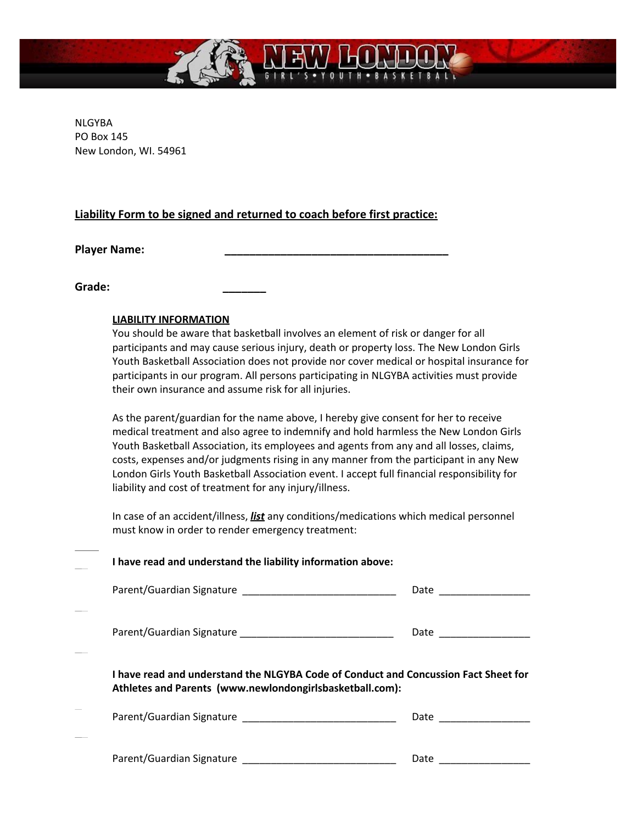

NLGYBA PO Box 145 New London, WI. 54961

# **Liability Form to be signed and returned to coach before first practice:**

**Player Name: \_\_\_\_\_\_\_\_\_\_\_\_\_\_\_\_\_\_\_\_\_\_\_\_\_\_\_\_\_\_\_\_\_\_\_\_**

**Grade: \_\_\_\_\_\_\_**

### **LIABILITY INFORMATION**

You should be aware that basketball involves an element of risk or danger for all participants and may cause serious injury, death or property loss. The New London Girls Youth Basketball Association does not provide nor cover medical or hospital insurance for participants in our program. All persons participating in NLGYBA activities must provide their own insurance and assume risk for all injuries.

As the parent/guardian for the name above, I hereby give consent for her to receive medical treatment and also agree to indemnify and hold harmless the New London Girls Youth Basketball Association, its employees and agents from any and all losses, claims, costs, expenses and/or judgments rising in any manner from the participant in any New London Girls Youth Basketball Association event. I accept full financial responsibility for liability and cost of treatment for any injury/illness.

In case of an accident/illness, *list* any conditions/medications which medical personnel must know in order to render emergency treatment:

| I have read and understand the liability information above:                                                                                     |                          |  |  |  |  |
|-------------------------------------------------------------------------------------------------------------------------------------------------|--------------------------|--|--|--|--|
|                                                                                                                                                 |                          |  |  |  |  |
|                                                                                                                                                 | Date _________________   |  |  |  |  |
| I have read and understand the NLGYBA Code of Conduct and Concussion Fact Sheet for<br>Athletes and Parents (www.newlondongirlsbasketball.com): |                          |  |  |  |  |
|                                                                                                                                                 | Date ___________________ |  |  |  |  |
|                                                                                                                                                 | Date                     |  |  |  |  |